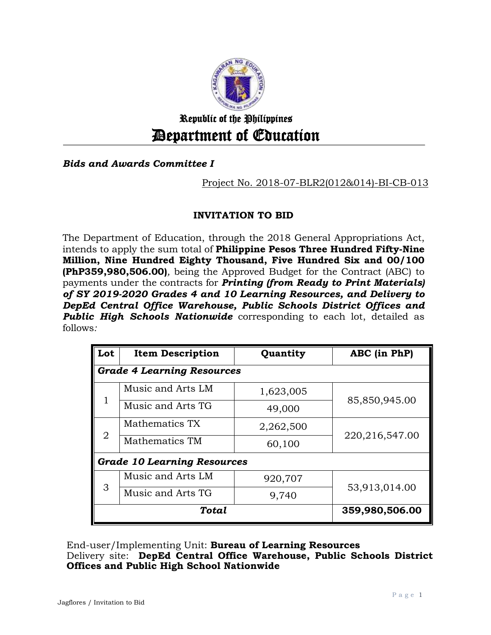

# Republic of the Philippines Department of Education

## *Bids and Awards Committee I*

## Project No. 2018-07-BLR2(012&014)-BI-CB-013

## **INVITATION TO BID**

The Department of Education, through the 2018 General Appropriations Act, intends to apply the sum total of **Philippine Pesos Three Hundred Fifty-Nine Million, Nine Hundred Eighty Thousand, Five Hundred Six and 00/100 (PhP359,980,506.00)***,* being the Approved Budget for the Contract (ABC) to payments under the contracts for *Printing (from Ready to Print Materials) of SY 2019-2020 Grades 4 and 10 Learning Resources, and Delivery to DepEd Central Office Warehouse, Public Schools District Offices and*  **Public High Schools Nationwide** corresponding to each lot, detailed as follows*:*

| Lot                                | <b>Item Description</b> | Quantity       | ABC (in PhP)     |  |  |
|------------------------------------|-------------------------|----------------|------------------|--|--|
| <b>Grade 4 Learning Resources</b>  |                         |                |                  |  |  |
| 1                                  | Music and Arts LM       | 1,623,005      | 85,850,945.00    |  |  |
|                                    | Music and Arts TG       | 49,000         |                  |  |  |
| $\overline{2}$                     | Mathematics TX          | 2,262,500      | 220, 216, 547.00 |  |  |
|                                    | Mathematics TM          | 60,100         |                  |  |  |
| <b>Grade 10 Learning Resources</b> |                         |                |                  |  |  |
| 3                                  | Music and Arts LM       | 920,707        | 53,913,014.00    |  |  |
|                                    | Music and Arts TG       | 9,740          |                  |  |  |
|                                    | Total                   | 359,980,506.00 |                  |  |  |

End-user/Implementing Unit: **Bureau of Learning Resources**

Delivery site: **DepEd Central Office Warehouse, Public Schools District Offices and Public High School Nationwide**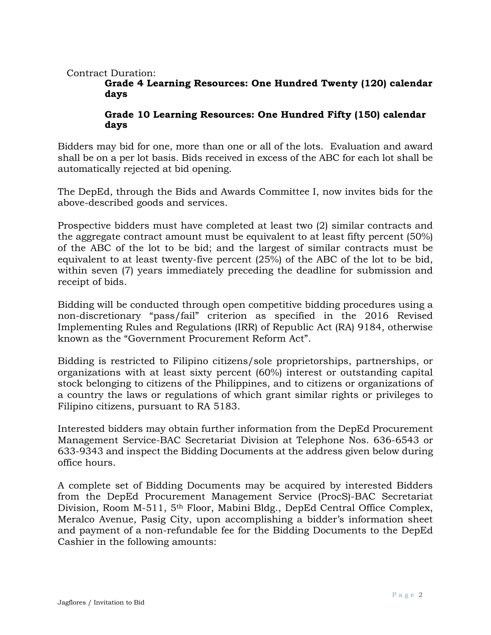#### Contract Duration:

#### **Grade 4 Learning Resources: One Hundred Twenty (120) calendar days**

### **Grade 10 Learning Resources: One Hundred Fifty (150) calendar days**

Bidders may bid for one, more than one or all of the lots. Evaluation and award shall be on a per lot basis. Bids received in excess of the ABC for each lot shall be automatically rejected at bid opening.

The DepEd, through the Bids and Awards Committee I, now invites bids for the above-described goods and services.

Prospective bidders must have completed at least two (2) similar contracts and the aggregate contract amount must be equivalent to at least fifty percent (50%) of the ABC of the lot to be bid; and the largest of similar contracts must be equivalent to at least twenty-five percent (25%) of the ABC of the lot to be bid, within seven (7) years immediately preceding the deadline for submission and receipt of bids.

Bidding will be conducted through open competitive bidding procedures using a non-discretionary "pass/fail" criterion as specified in the 2016 Revised Implementing Rules and Regulations (IRR) of Republic Act (RA) 9184, otherwise known as the "Government Procurement Reform Act".

Bidding is restricted to Filipino citizens/sole proprietorships, partnerships, or organizations with at least sixty percent (60%) interest or outstanding capital stock belonging to citizens of the Philippines, and to citizens or organizations of a country the laws or regulations of which grant similar rights or privileges to Filipino citizens, pursuant to RA 5183.

Interested bidders may obtain further information from the DepEd Procurement Management Service-BAC Secretariat Division at Telephone Nos. 636-6543 or 633-9343 and inspect the Bidding Documents at the address given below during office hours.

A complete set of Bidding Documents may be acquired by interested Bidders from the DepEd Procurement Management Service (ProcS)-BAC Secretariat Division, Room M-511, 5<sup>th</sup> Floor, Mabini Bldg., DepEd Central Office Complex, Meralco Avenue, Pasig City, upon accomplishing a bidder's information sheet and payment of a non-refundable fee for the Bidding Documents to the DepEd Cashier in the following amounts: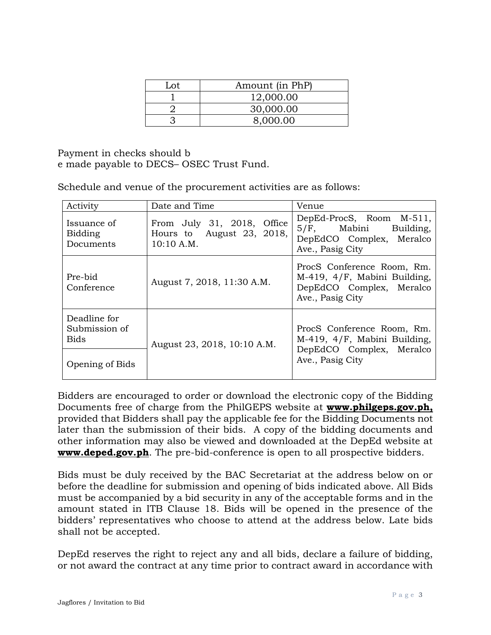| Lot | Amount (in PhP) |  |
|-----|-----------------|--|
|     | 12,000.00       |  |
|     | 30,000.00       |  |
|     | 8,000.00        |  |

Payment in checks should b e made payable to DECS– OSEC Trust Fund.

Schedule and venue of the procurement activities are as follows:

| Activity                                            | Date and Time                                                         | Venue                                                                                                      |  |
|-----------------------------------------------------|-----------------------------------------------------------------------|------------------------------------------------------------------------------------------------------------|--|
| Issuance of<br>Bidding<br>Documents                 | From July 31, 2018, Office<br>Hours to August 23, 2018,<br>10:10 A.M. | DepEd-ProcS, Room M-511,<br>5/F, Mabini Building,<br>DepEdCO Complex, Meralco<br>Ave., Pasig City          |  |
| Pre-bid<br>August 7, 2018, 11:30 A.M.<br>Conference |                                                                       | ProcS Conference Room, Rm.<br>M-419, 4/F, Mabini Building,<br>DepEdCO Complex, Meralco<br>Ave., Pasig City |  |
| Deadline for<br>Submission of<br><b>Bids</b>        | August 23, 2018, 10:10 A.M.                                           | ProcS Conference Room, Rm.<br>M-419, 4/F, Mabini Building,                                                 |  |
| Opening of Bids                                     |                                                                       | DepEdCO Complex, Meralco<br>Ave., Pasig City                                                               |  |

Bidders are encouraged to order or download the electronic copy of the Bidding Documents free of charge from the PhilGEPS website at **[www.philgeps.gov.ph,](http://www.philgeps.gov.ph/)**  provided that Bidders shall pay the applicable fee for the Bidding Documents not later than the submission of their bids. A copy of the bidding documents and other information may also be viewed and downloaded at the DepEd website at **[www.deped.gov.ph](http://www.deped.gov.ph/)**. The pre-bid-conference is open to all prospective bidders.

Bids must be duly received by the BAC Secretariat at the address below on or before the deadline for submission and opening of bids indicated above. All Bids must be accompanied by a bid security in any of the acceptable forms and in the amount stated in ITB Clause 18. Bids will be opened in the presence of the bidders' representatives who choose to attend at the address below. Late bids shall not be accepted.

DepEd reserves the right to reject any and all bids, declare a failure of bidding, or not award the contract at any time prior to contract award in accordance with